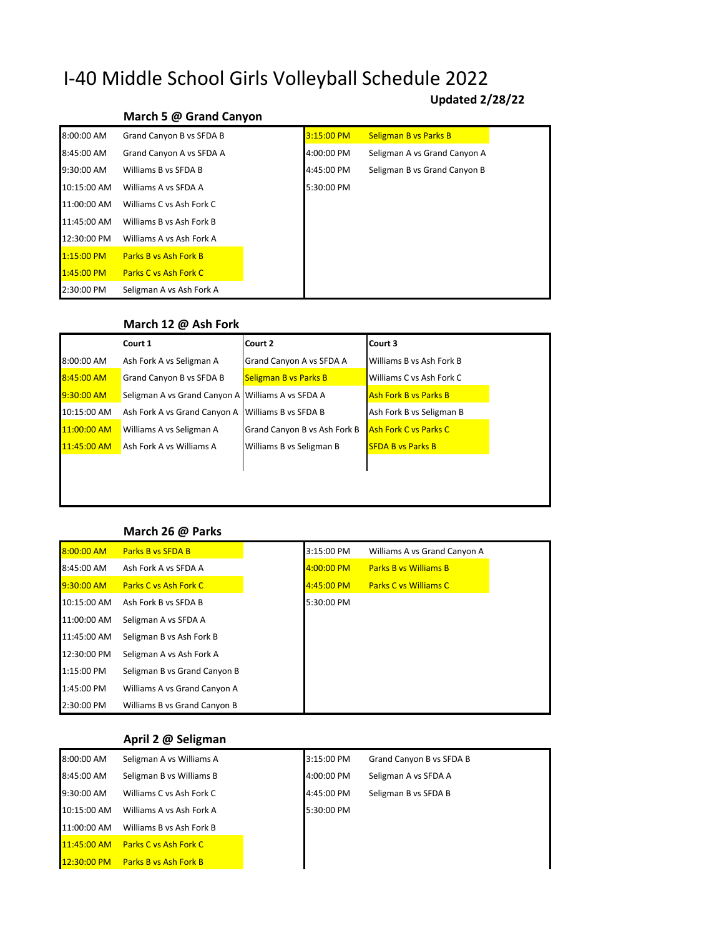# I-40 Middle School Girls Volleyball Schedule 2022

# **Updated 2/28/22**

# **March 5 @ Grand Canyon**

| 8:00:00 AM   | Grand Canyon B vs SFDA B     | 3:15:00 PM | <b>Seligman B vs Parks B</b> |
|--------------|------------------------------|------------|------------------------------|
| 8:45:00 AM   | Grand Canyon A vs SFDA A     | 4:00:00 PM | Seligman A vs Grand Canyon A |
| 9:30:00 AM   | Williams B vs SFDA B         | 4:45:00 PM | Seligman B vs Grand Canyon B |
| 10:15:00 AM  | Williams A vs SFDA A         | 5:30:00 PM |                              |
| 11:00:00 AM  | Williams C vs Ash Fork C     |            |                              |
| 11:45:00 AM  | Williams B vs Ash Fork B     |            |                              |
| 12:30:00 PM  | Williams A vs Ash Fork A     |            |                              |
| $1:15:00$ PM | <b>Parks B vs Ash Fork B</b> |            |                              |
| $1:45:00$ PM | <b>Parks C vs Ash Fork C</b> |            |                              |
| 2:30:00 PM   | Seligman A vs Ash Fork A     |            |                              |

#### **March 12 @ Ash Fork**

|             | Court 1                                           | Court 2                      | Court 3                      |
|-------------|---------------------------------------------------|------------------------------|------------------------------|
| 8:00:00 AM  | Ash Fork A vs Seligman A                          | Grand Canyon A vs SFDA A     | Williams B vs Ash Fork B     |
| 8:45:00 AM  | Grand Canyon B vs SFDA B                          | <b>Seligman B vs Parks B</b> | Williams C vs Ash Fork C     |
| 9:30:00 AM  | Seligman A vs Grand Canyon A Williams A vs SFDA A |                              | <b>Ash Fork B vs Parks B</b> |
| 10:15:00 AM | Ash Fork A vs Grand Canyon A                      | Williams B vs SFDA B         | Ash Fork B vs Seligman B     |
| 11:00:00 AM | Williams A vs Seligman A                          | Grand Canyon B vs Ash Fork B | <b>Ash Fork C vs Parks C</b> |
| 11:45:00 AM | Ash Fork A vs Williams A                          | Williams B vs Seligman B     | <b>SFDA B vs Parks B</b>     |
|             |                                                   |                              |                              |

## **March 26 @ Parks**

| 8:00:00 AM   | <b>Parks B vs SFDA B</b>     | 3:15:00 PM   | Williams A vs Grand Canyon A |
|--------------|------------------------------|--------------|------------------------------|
| 8:45:00 AM   | Ash Fork A vs SFDA A         | $4:00:00$ PM | <b>Parks B vs Williams B</b> |
| $9:30:00$ AM | <b>Parks C vs Ash Fork C</b> | 4:45:00 PM   | <b>Parks C vs Williams C</b> |
| 10:15:00 AM  | Ash Fork B vs SFDA B         | 5:30:00 PM   |                              |
| 11:00:00 AM  | Seligman A vs SFDA A         |              |                              |
| 11:45:00 AM  | Seligman B vs Ash Fork B     |              |                              |
| 12:30:00 PM  | Seligman A vs Ash Fork A     |              |                              |
| 1:15:00 PM   | Seligman B vs Grand Canyon B |              |                              |
| 1:45:00 PM   | Williams A vs Grand Canyon A |              |                              |
| 2:30:00 PM   | Williams B vs Grand Canyon B |              |                              |

## **April 2 @ Seligman**

| 8:00:00 AM    | Seligman A vs Williams A     | 3:15:00 PM | Grand Canyon B vs SFDA B |
|---------------|------------------------------|------------|--------------------------|
| 8:45:00 AM    | Seligman B vs Williams B     | 4:00:00 PM | Seligman A vs SFDA A     |
| 9:30:00 AM    | Williams C vs Ash Fork C     | 4:45:00 PM | Seligman B vs SFDA B     |
| 10:15:00 AM   | Williams A vs Ash Fork A     | 5:30:00 PM |                          |
| 11:00:00 AM   | Williams B vs Ash Fork B     |            |                          |
| $11:45:00$ AM | <b>Parks C vs Ash Fork C</b> |            |                          |
| 12:30:00 PM   | <b>Parks B vs Ash Fork B</b> |            |                          |